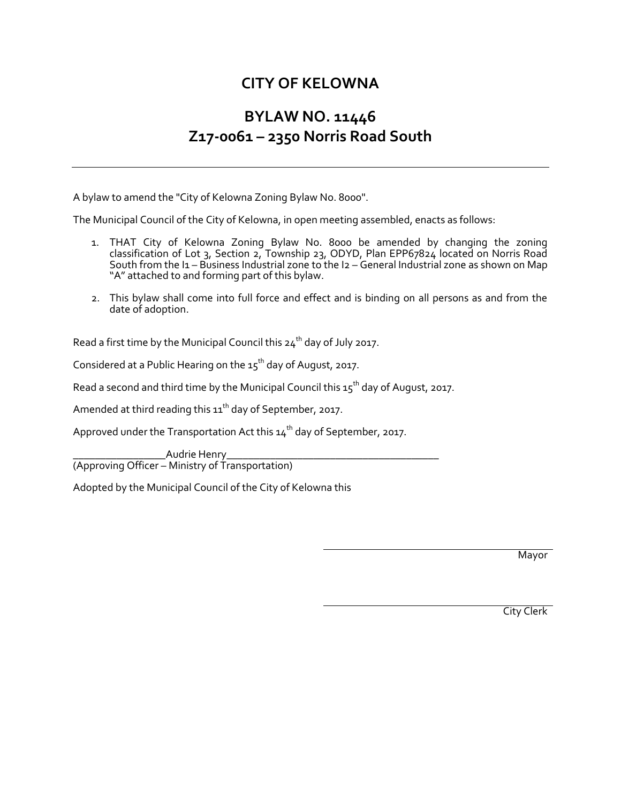## **CITY OF KELOWNA**

## **BYLAW NO. 11446 Z17-0061 – 2350 Norris Road South**

A bylaw to amend the "City of Kelowna Zoning Bylaw No. 8000".

The Municipal Council of the City of Kelowna, in open meeting assembled, enacts as follows:

- 1. THAT City of Kelowna Zoning Bylaw No. 8000 be amended by changing the zoning classification of Lot 3, Section 2, Township 23, ODYD, Plan EPP67824 located on Norris Road South from the I1 – Business Industrial zone to the I2 – General Industrial zone as shown on Map "A" attached to and forming part of this bylaw.
- 2. This bylaw shall come into full force and effect and is binding on all persons as and from the date of adoption.

Read a first time by the Municipal Council this  $24<sup>th</sup>$  day of July 2017.

Considered at a Public Hearing on the  $15^{th}$  day of August, 2017.

Read a second and third time by the Municipal Council this  $15<sup>th</sup>$  day of August, 2017.

Amended at third reading this  $11^{th}$  day of September, 2017.

Approved under the Transportation Act this  $14<sup>th</sup>$  day of September, 2017.

Audrie Henry (Approving Officer – Ministry of Transportation)

Adopted by the Municipal Council of the City of Kelowna this

Mayor

City Clerk